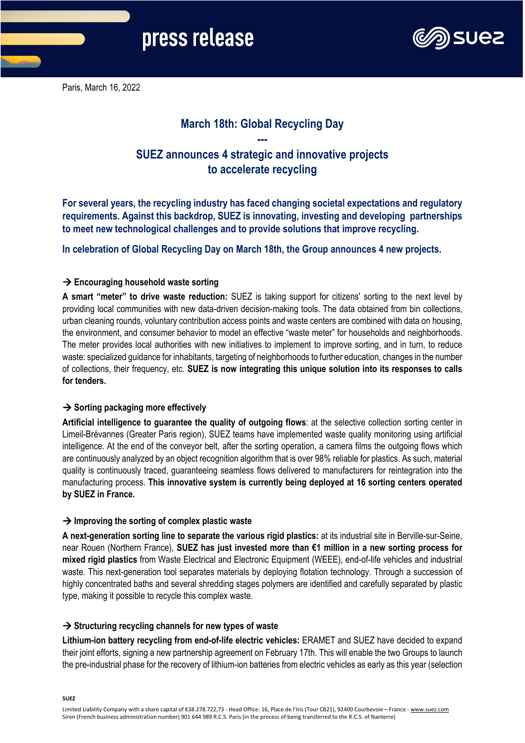

Paris, March 16, 2022

# **March 18th: Global Recycling Day ---**

# **SUEZ announces 4 strategic and innovative projects to accelerate recycling**

**For several years, the recycling industry has faced changing societal expectations and regulatory requirements. Against this backdrop, SUEZ is innovating, investing and developing partnerships to meet new technological challenges and to provide solutions that improve recycling.**

**In celebration of Global Recycling Day on March 18th, the Group announces 4 new projects.**

## **Encouraging household waste sorting**

**A smart "meter" to drive waste reduction:** SUEZ is taking support for citizens' sorting to the next level by providing local communities with new data-driven decision-making tools. The data obtained from bin collections, urban cleaning rounds, voluntary contribution access points and waste centers are combined with data on housing, the environment, and consumer behavior to model an effective "waste meter" for households and neighborhoods. The meter provides local authorities with new initiatives to implement to improve sorting, and in turn, to reduce waste: specialized guidance for inhabitants, targeting of neighborhoods to further education, changes in the number of collections, their frequency, etc. **SUEZ is now integrating this unique solution into its responses to calls for tenders.**

## $\rightarrow$  **Sorting packaging more effectively**

**Artificial intelligence to guarantee the quality of outgoing flows**: at the selective collection sorting center in Limeil-Brévannes (Greater Paris region), SUEZ teams have implemented waste quality monitoring using artificial intelligence. At the end of the conveyor belt, after the sorting operation, a camera films the outgoing flows which are continuously analyzed by an object recognition algorithm that is over 98% reliable for plastics. As such, material quality is continuously traced, guaranteeing seamless flows delivered to manufacturers for reintegration into the manufacturing process. **This innovative system is currently being deployed at 16 sorting centers operated by SUEZ in France.** 

### **→ Improving the sorting of complex plastic waste**

**A next-generation sorting line to separate the various rigid plastics:** at its industrial site in Berville-sur-Seine, near Rouen (Northern France), **SUEZ has just invested more than €1 million in a new sorting process for mixed rigid plastics** from Waste Electrical and Electronic Equipment (WEEE), end-of-life vehicles and industrial waste. This next-generation tool separates materials by deploying flotation technology. Through a succession of highly concentrated baths and several shredding stages polymers are identified and carefully separated by plastic type, making it possible to recycle this complex waste.

## **→ Structuring recycling channels for new types of waste**

**Lithium-ion battery recycling from end-of-life electric vehicles:** ERAMET and SUEZ have decided to expand their joint efforts, signing a new partnership agreement on February 17th. This will enable the two Groups to launch the pre-industrial phase for the recovery of lithium-ion batteries from electric vehicles as early as this year (selection

**SUEZ**